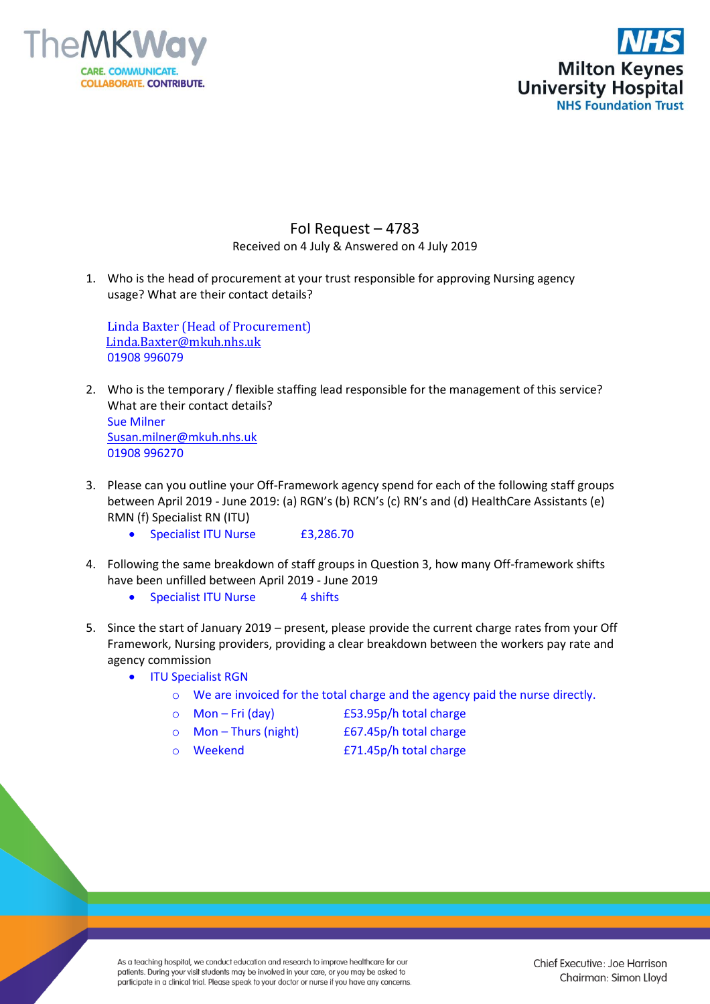



## FoI Request – 4783 Received on 4 July & Answered on 4 July 2019

1. Who is the head of procurement at your trust responsible for approving Nursing agency usage? What are their contact details?

Linda Baxter (Head of Procurement) [Linda.Baxter@mkuh.nhs.uk](mailto:Linda.Baxter@mkuh.nhs.uk) 01908 996079

- 2. Who is the temporary / flexible staffing lead responsible for the management of this service? What are their contact details? Sue Milner [Susan.milner@mkuh.nhs.uk](mailto:Susan.milner@mkuh.nhs.uk) 01908 996270
- 3. Please can you outline your Off-Framework agency spend for each of the following staff groups between April 2019 - June 2019: (a) RGN's (b) RCN's (c) RN's and (d) HealthCare Assistants (e) RMN (f) Specialist RN (ITU)
	- Specialist ITU Nurse £3,286.70
- 4. Following the same breakdown of staff groups in Question 3, how many Off-framework shifts have been unfilled between April 2019 - June 2019
	- Specialist ITU Nurse 4 shifts
- 5. Since the start of January 2019 present, please provide the current charge rates from your Off Framework, Nursing providers, providing a clear breakdown between the workers pay rate and agency commission
	- ITU Specialist RGN
		- o We are invoiced for the total charge and the agency paid the nurse directly.
		- o Mon Fri (day) £53.95p/h total charge
			-
		-
		- o Mon Thurs (night) £67.45p/h total charge
		-
		- o Weekend £71.45p/h total charge

As a teaching hospital, we conduct education and research to improve healthcare for our patients. During your visit students may be involved in your care, or you may be asked to participate in a clinical trial. Please speak to your doctor or nurse if you have any concerns.